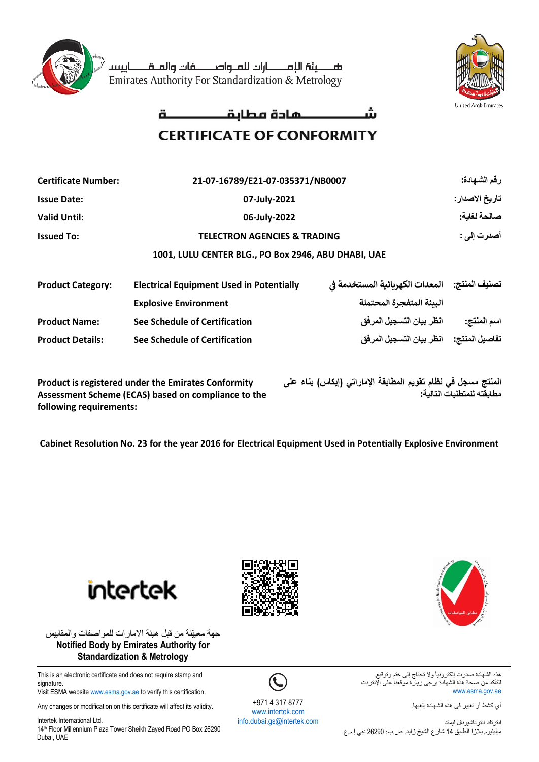

صصينة اللمصارات للملواصصفات والملقطاييسا Emirates Authority For Standardization & Metrology



## **CERTIFICATE OF CONFORMITY**

| <b>Certificate Number:</b> | 21-07-16789/E21-07-035371/NB0007                    |                                                   | رقم الشهادة:   |  |  |
|----------------------------|-----------------------------------------------------|---------------------------------------------------|----------------|--|--|
| <b>Issue Date:</b>         | 07-July-2021                                        |                                                   | تاريخ الاصدار: |  |  |
| <b>Valid Until:</b>        | 06-July-2022                                        |                                                   | صالحة لغابة:   |  |  |
| <b>Issued To:</b>          | <b>TELECTRON AGENCIES &amp; TRADING</b>             | أصدرت إلى :                                       |                |  |  |
|                            | 1001, LULU CENTER BLG., PO Box 2946, ABU DHABI, UAE |                                                   |                |  |  |
| <b>Product Category:</b>   | <b>Electrical Equipment Used in Potentially</b>     | تصنيف المنتج:     المعدات الكهربائية المستخدمة في |                |  |  |
|                            | <b>Explosive Environment</b>                        | البيئة المتفجرة المحتملة                          |                |  |  |
| <b>Product Name:</b>       | See Schedule of Certification                       | انظر بيان التسجيل المرفق                          | اسم المنتج:    |  |  |
| <b>Product Details:</b>    | See Schedule of Certification                       | تفاصيل المنتج:     انظر بيان التسجيل المرفق       |                |  |  |
|                            |                                                     |                                                   |                |  |  |

**Product is registered under the Emirates Conformity Assessment Scheme (ECAS) based on compliance to the following requirements:**

**المنتج مسجل في نظام تقويم المطابقة الإماراتي )إيكاس ( بناء على مطابقتھ للمتطلبات التالية:**

**Cabinet Resolution No. 23 for the year 2016 for Electrical Equipment Used in Potentially Explosive Environment**

intertek





This is an electronic certificate and does not require stamp and signature. Visit ESMA websit[e www.esma.gov.ae](http://www.esma.gov.ae/) to verify this certification.

Any changes or modification on this certificate will affect its validity.

Intertek International Ltd. 14<sup>th</sup> Floor Millennium Plaza Tower Sheikh Zayed Road PO Box 26290 Dubai, UAE



+971 4 317 8777 [www.intertek.com](http://www.intertek.com/)  [info.dubai.gs@intertek.com](mailto:info.dubai.gs@intertek.com)



هذه الشهادة صدرت إلكترونياً ولا تحتاج إلى ختم وتوقيع. للتأكد من صحة هذة الشهادة يرجى زيارة موقعنا على الإنترنت [www.esma.gov.ae](http://www.esma.gov.ae/)

أي كشط أو تغيير فى هذه الشهادة يلغيها.

انترتك انترناشيونال ليمتد ميلينيوم بالزا الطابق 14 شارع الشيخ زايد. ص.ب: 26290 دبي إ.م.ع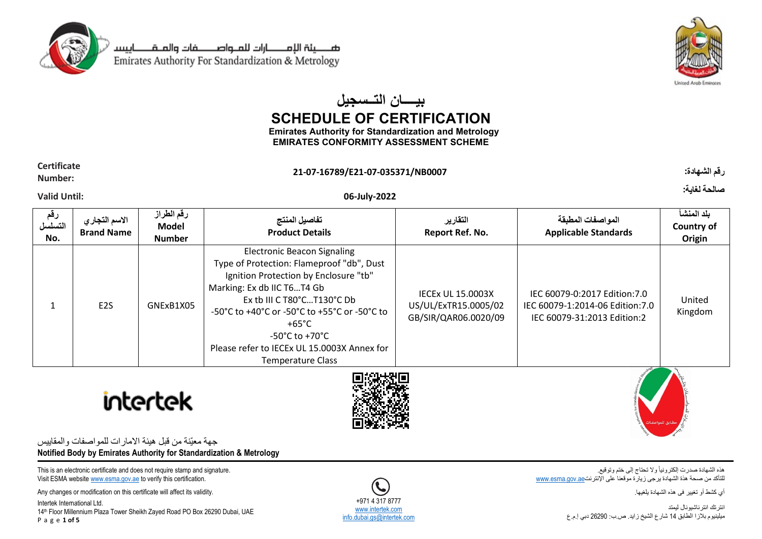

صـــــينة الإمــــــارات للمــواصــــــــفات والمــقـــــــاييسـ Emirates Authority For Standardization & Metrology



# **بیــــان التــسجیل SCHEDULE OF CERTIFICATION**

**Emirates Authority for Standardization and Metrology EMIRATES CONFORMITY ASSESSMENT SCHEME**

### **Certificate Number: 21-07-16789/E21-07-035371/NB0007 :الشهادة رقم**

### **Valid Until: 06-July-2022**

| رقم<br>التسلسل<br>No. | الاسم التجار ي<br><b>Brand Name</b> | رقم الطراز<br>Model<br><b>Number</b> | تفاصيل المنتج<br><b>Product Details</b>                                                                                                                                                                                                                                                                                                    | التقارير<br>Report Ref. No.                                              | المواصفات المطبقة<br><b>Applicable Standards</b>                                                | بلد المنشأ<br>Country of<br>Origin |
|-----------------------|-------------------------------------|--------------------------------------|--------------------------------------------------------------------------------------------------------------------------------------------------------------------------------------------------------------------------------------------------------------------------------------------------------------------------------------------|--------------------------------------------------------------------------|-------------------------------------------------------------------------------------------------|------------------------------------|
|                       | E <sub>2</sub> S                    | GNExB1X05                            | <b>Electronic Beacon Signaling</b><br>Type of Protection: Flameproof "db", Dust<br>Ignition Protection by Enclosure "tb"<br>Marking: Ex db IIC T6T4 Gb<br>Ex tb III C T80°CT130°C Db<br>-50°C to +40°C or -50°C to +55°C or -50°C to<br>+65°C<br>-50°C to +70°C<br>Please refer to IECEx UL 15.0003X Annex for<br><b>Temperature Class</b> | <b>IECEX UL 15,0003X</b><br>US/UL/ExTR15.0005/02<br>GB/SIR/QAR06.0020/09 | IEC 60079-0:2017 Edition: 7.0<br>IEC 60079-1:2014-06 Edition:7.0<br>IEC 60079-31:2013 Edition:2 | United<br>Kingdom                  |





جهة معيّنة من قبل هيئة االمارات للمواصفات والمقاييس **Notified Body by Emirates Authority for Standardization & Metrology**

This is an electronic certificate and does not require stamp and signature. Visit ESMA websit[e www.esma.gov.ae](http://www.esma.gov.ae/) to verify this certification.

Any changes or modification on this certificate will affect its validity.

Intertek International Ltd. 14<sup>th</sup> Floor Millennium Plaza Tower Sheikh Zayed Road PO Box 26290 Dubai, UAE P a g e **1 of 5**

[info.dubai.gs@intertek.com](mailto:info.dubai.gs@intertek.com)

هذه الشهادة صدرت إلكترونياً وال تحتاج إلى ختم وتوقيع. للتأكد من صحة هذة الشهادة يرجى زيارة موقعنا على الإنترنت[ae.gov.esma.www](http://www.esma.gov.ae/)

أي كشط أو تغيير فى هذه الشهادة يلغيها.

انترتك انترناشيونال ليمتد ميلينيوم بالزا الطابق 14 شارع الشيخ زايد. ص.ب: 26290 دبي إ.م.ع

+971 4 317 8777 [www.intertek.com](http://www.intertek.com/)

**صالحة لغاية:**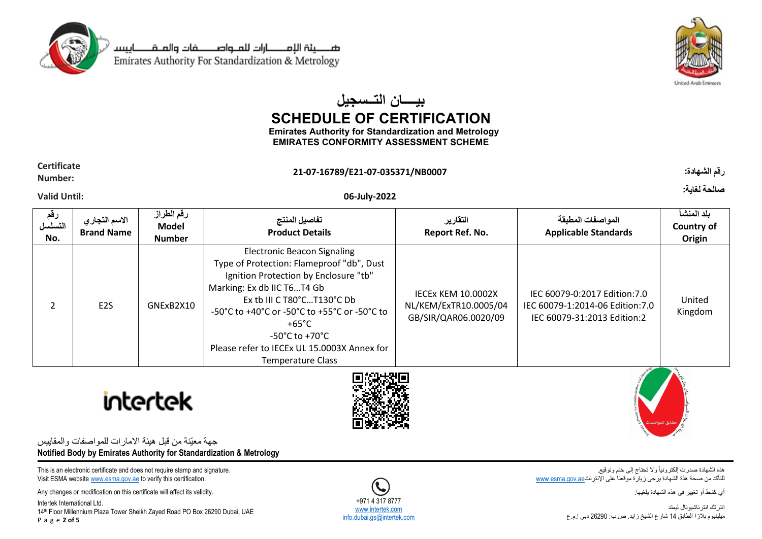

صـــــينة الإمــــــارات للمــواصــــــــفات والمــقـــــــاييسـ Emirates Authority For Standardization & Metrology



# **بیــــان التــسجیل SCHEDULE OF CERTIFICATION**

**Emirates Authority for Standardization and Metrology EMIRATES CONFORMITY ASSESSMENT SCHEME**

### **Certificate Number: 21-07-16789/E21-07-035371/NB0007 :الشهادة رقم**

**صالحة لغاية:**

### **Valid Until: 06-July-2022**

| رقم<br>التسلسل<br>No. | الاسم التجار ي<br><b>Brand Name</b> | رقم الطراز<br>Model<br><b>Number</b> | تفاصيل المنتج<br><b>Product Details</b>                                                                                                                                                                                                                                                                                                                         | التقارير<br>Report Ref. No.                                         | المواصفات المطبقة<br><b>Applicable Standards</b>                                               | بلد المنشأ<br>Country of<br>Origin |
|-----------------------|-------------------------------------|--------------------------------------|-----------------------------------------------------------------------------------------------------------------------------------------------------------------------------------------------------------------------------------------------------------------------------------------------------------------------------------------------------------------|---------------------------------------------------------------------|------------------------------------------------------------------------------------------------|------------------------------------|
| $\mathcal{P}$         | E <sub>2</sub> S                    | GNExB2X10                            | <b>Electronic Beacon Signaling</b><br>Type of Protection: Flameproof "db", Dust<br>Ignition Protection by Enclosure "tb"<br>Marking: Ex db IIC T6T4 Gb<br>Ex tb III C $T80^{\circ}$ C $T130^{\circ}$ C Db<br>-50°C to +40°C or -50°C to +55°C or -50°C to<br>+65°C<br>-50°C to +70°C<br>Please refer to IECEx UL 15.0003X Annex for<br><b>Temperature Class</b> | IECEX KEM 10.0002X<br>NL/KEM/ExTR10.0005/04<br>GB/SIR/QAR06.0020/09 | IEC 60079-0:2017 Edition:7.0<br>IEC 60079-1:2014-06 Edition:7.0<br>IEC 60079-31:2013 Edition:2 | United<br>Kingdom                  |





جهة معيّنة من قبل هيئة االمارات للمواصفات والمقاييس **Notified Body by Emirates Authority for Standardization & Metrology**

This is an electronic certificate and does not require stamp and signature. Visit ESMA websit[e www.esma.gov.ae](http://www.esma.gov.ae/) to verify this certification.

Any changes or modification on this certificate will affect its validity.

Intertek International Ltd. 14<sup>th</sup> Floor Millennium Plaza Tower Sheikh Zayed Road PO Box 26290 Dubai, UAE P a g e **2 of 5**

هذه الشهادة صدرت إلكترونياً وال تحتاج إلى ختم وتوقيع. للتأكد من صحة هذة الشهادة يرجى زيارة موقعنا على الإنترنت[ae.gov.esma.www](http://www.esma.gov.ae/)

أي كشط أو تغيير فى هذه الشهادة يلغيها.

انترتك انترناشيونال ليمتد ميلينيوم بالزا الطابق 14 شارع الشيخ زايد. ص.ب: 26290 دبي إ.م.ع

+971 4 317 8777 [www.intertek.com](http://www.intertek.com/) [info.dubai.gs@intertek.com](mailto:info.dubai.gs@intertek.com)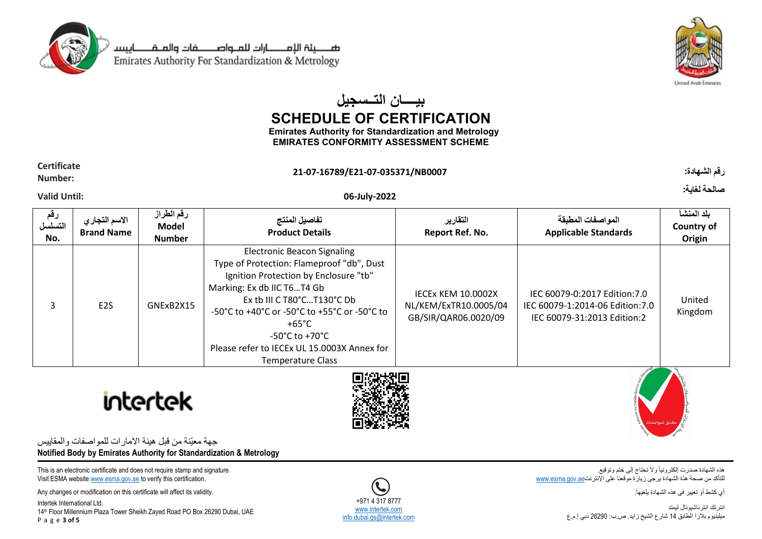

صـــــينة الإمـــــــارات للمــواصــــــــفات والمــقــــــــاييسـ Emirates Authority For Standardization & Metrology



# **بیــــان التــسجیل SCHEDULE OF CERTIFICATION**

**Emirates Authority for Standardization and Metrology EMIRATES CONFORMITY ASSESSMENT SCHEME**

## **Certificate**

## **Valid Until: 06-July-2022**

**رقم التسلسل No. االسم التجاري Brand Name رقم الطراز Model Number تفاصيل المنتج Product Details التقارير Report Ref. No. المواصفات المطبقة Applicable Standards بلد المنشأ Country of Origin** 3 E2S GNExB2X15 Electronic Beacon Signaling Type of Protection: Flameproof "db", Dust Ignition Protection by Enclosure "tb" Marking: Ex db IIC T6…T4 Gb Ex tb III C T80°C…T130°C Db -50°C to +40°C or -50°C to +55°C or -50°C to +65°C -50°C to +70°C Please refer to IECEx UL 15.0003X Annex for Temperature Class IECEx KEM 10.0002X NL/KEM/ExTR10.0005/04 GB/SIR/QAR06.0020/09 IEC 60079-0:2017 Edition:7.0 IEC 60079-1:2014-06 Edition:7.0 IEC 60079-31:2013 Edition:2 United Kingdom





جهة معيّنة من قبل هيئة االمارات للمواصفات والمقاييس **Notified Body by Emirates Authority for Standardization & Metrology**

This is an electronic certificate and does not require stamp and signature. Visit ESMA websit[e www.esma.gov.ae](http://www.esma.gov.ae/) to verify this certification.

Any changes or modification on this certificate will affect its validity.

Intertek International Ltd. 14th Floor Millennium Plaza Tower Sheikh Zayed Road PO Box 26290 Dubai, UAE P a g e **3 of 5**

**Number: 21-07-16789/E21-07-035371/NB0007 :الشهادة رقم**

**صالحة لغاية:**

هذه الشهادة صدرت إلكترونياً وال تحتاج إلى ختم وتوقيع. للتأكد من صحة هذة الشهادة يرجى زيارة موقعنا على الإنترنت[ae.gov.esma.www](http://www.esma.gov.ae/)

أي كشط أو تغيير فى هذه الشهادة يلغيها.

انترتك انترناشيونال ليمتد ميلينيوم بالزا الطابق 14 شارع الشيخ زايد. ص.ب: 26290 دبي إ.م.ع

+971 4 317 8777 [www.intertek.com](http://www.intertek.com/) nfo.dubai.gs@intertek.com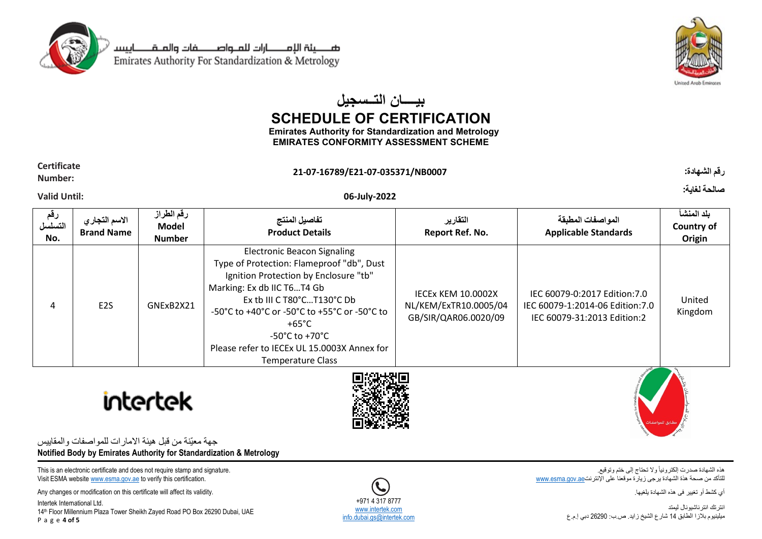

صـــــينة الإمـــــــارات للمــواصــــــــفات والمــقــــــــاييسـ Emirates Authority For Standardization & Metrology



# **بیــــان التــسجیل SCHEDULE OF CERTIFICATION**

**Emirates Authority for Standardization and Metrology EMIRATES CONFORMITY ASSESSMENT SCHEME**

#### **Certificate Number: 21-07-16789/E21-07-035371/NB0007 :الشهادة رقم**

## **Valid Until: 06-July-2022**

**رقم التسلسل No. االسم التجاري Brand Name رقم الطراز Model Number تفاصيل المنتج Product Details التقارير Report Ref. No. المواصفات المطبقة Applicable Standards بلد المنشأ Country of Origin** 4 E2S GNExB2X21 Electronic Beacon Signaling Type of Protection: Flameproof "db", Dust Ignition Protection by Enclosure "tb" Marking: Ex db IIC T6…T4 Gb Ex tb III C T80°C…T130°C Db -50°C to +40°C or -50°C to +55°C or -50°C to +65°C -50°C to +70°C Please refer to IECEx UL 15.0003X Annex for Temperature Class IECEx KEM 10.0002X NL/KEM/ExTR10.0005/04 GB/SIR/QAR06.0020/09 IEC 60079-0:2017 Edition:7.0 IEC 60079-1:2014-06 Edition:7.0 IEC 60079-31:2013 Edition:2 United Kingdom





جهة معيّنة من قبل هيئة االمارات للمواصفات والمقاييس **Notified Body by Emirates Authority for Standardization & Metrology**

This is an electronic certificate and does not require stamp and signature. Visit ESMA websit[e www.esma.gov.ae](http://www.esma.gov.ae/) to verify this certification.

Any changes or modification on this certificate will affect its validity.

Intertek International Ltd. 14th Floor Millennium Plaza Tower Sheikh Zayed Road PO Box 26290 Dubai, UAE P a g e **4 of 5**

هذه الشهادة صدرت إلكترونياً وال تحتاج إلى ختم وتوقيع. للتأكد من صحة هذة الشهادة يرجى زيارة موقعنا على الإنترنت[ae.gov.esma.www](http://www.esma.gov.ae/)

أي كشط أو تغيير فى هذه الشهادة يلغيها.

انترتك انترناشيونال ليمتد ميلينيوم بالزا الطابق 14 شارع الشيخ زايد. ص.ب: 26290 دبي إ.م.ع

+971 4 317 8777 [www.intertek.com](http://www.intertek.com/) nfo.dubai.gs@intertek.com

**صالحة لغاية:**